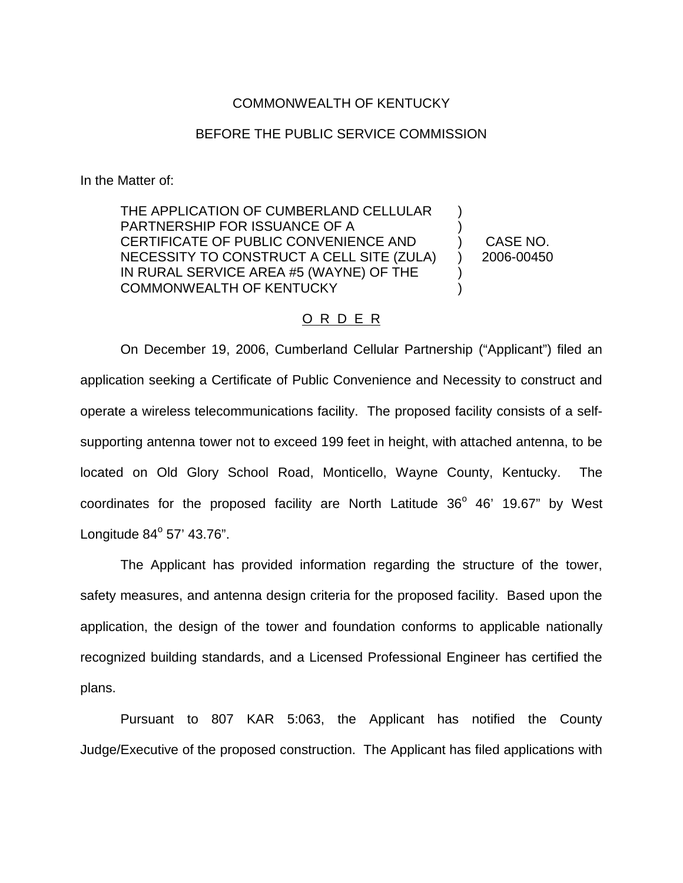## COMMONWEALTH OF KENTUCKY

## BEFORE THE PUBLIC SERVICE COMMISSION

In the Matter of:

THE APPLICATION OF CUMBERLAND CELLULAR PARTNERSHIP FOR ISSUANCE OF A CERTIFICATE OF PUBLIC CONVENIENCE AND NECESSITY TO CONSTRUCT A CELL SITE (ZULA) IN RURAL SERVICE AREA #5 (WAYNE) OF THE COMMONWEALTH OF KENTUCKY ) ) ) ) ) )

CASE NO. 2006-00450

## O R D E R

On December 19, 2006, Cumberland Cellular Partnership ("Applicant") filed an application seeking a Certificate of Public Convenience and Necessity to construct and operate a wireless telecommunications facility. The proposed facility consists of a selfsupporting antenna tower not to exceed 199 feet in height, with attached antenna, to be located on Old Glory School Road, Monticello, Wayne County, Kentucky. The coordinates for the proposed facility are North Latitude  $36^{\circ}$  46' 19.67" by West Longitude  $84^{\circ}$  57' 43.76".

The Applicant has provided information regarding the structure of the tower, safety measures, and antenna design criteria for the proposed facility. Based upon the application, the design of the tower and foundation conforms to applicable nationally recognized building standards, and a Licensed Professional Engineer has certified the plans.

Pursuant to 807 KAR 5:063, the Applicant has notified the County Judge/Executive of the proposed construction. The Applicant has filed applications with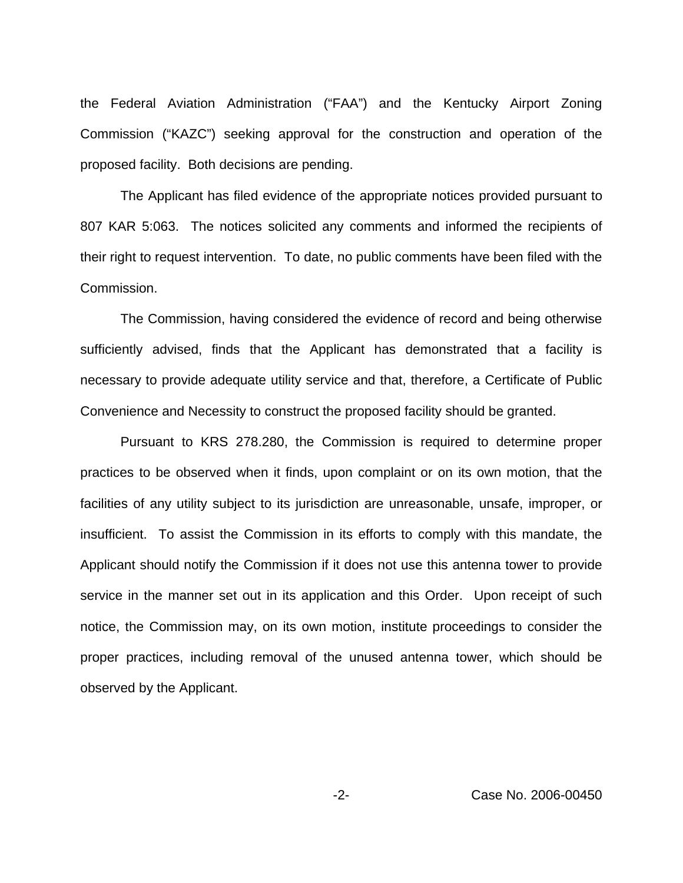the Federal Aviation Administration ("FAA") and the Kentucky Airport Zoning Commission ("KAZC") seeking approval for the construction and operation of the proposed facility. Both decisions are pending.

The Applicant has filed evidence of the appropriate notices provided pursuant to 807 KAR 5:063. The notices solicited any comments and informed the recipients of their right to request intervention. To date, no public comments have been filed with the Commission.

The Commission, having considered the evidence of record and being otherwise sufficiently advised, finds that the Applicant has demonstrated that a facility is necessary to provide adequate utility service and that, therefore, a Certificate of Public Convenience and Necessity to construct the proposed facility should be granted.

Pursuant to KRS 278.280, the Commission is required to determine proper practices to be observed when it finds, upon complaint or on its own motion, that the facilities of any utility subject to its jurisdiction are unreasonable, unsafe, improper, or insufficient. To assist the Commission in its efforts to comply with this mandate, the Applicant should notify the Commission if it does not use this antenna tower to provide service in the manner set out in its application and this Order. Upon receipt of such notice, the Commission may, on its own motion, institute proceedings to consider the proper practices, including removal of the unused antenna tower, which should be observed by the Applicant.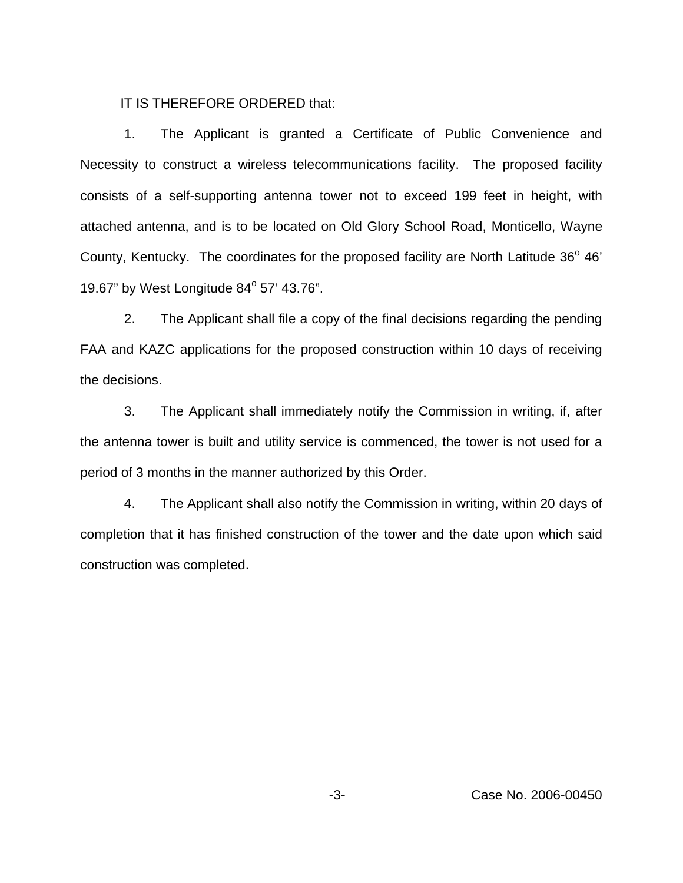IT IS THEREFORE ORDERED that:

1. The Applicant is granted a Certificate of Public Convenience and Necessity to construct a wireless telecommunications facility. The proposed facility consists of a self-supporting antenna tower not to exceed 199 feet in height, with attached antenna, and is to be located on Old Glory School Road, Monticello, Wayne County, Kentucky. The coordinates for the proposed facility are North Latitude  $36^{\circ}$  46' 19.67" by West Longitude  $84^{\circ}$  57' 43.76".

2. The Applicant shall file a copy of the final decisions regarding the pending FAA and KAZC applications for the proposed construction within 10 days of receiving the decisions.

3. The Applicant shall immediately notify the Commission in writing, if, after the antenna tower is built and utility service is commenced, the tower is not used for a period of 3 months in the manner authorized by this Order.

4. The Applicant shall also notify the Commission in writing, within 20 days of completion that it has finished construction of the tower and the date upon which said construction was completed.

-3- Case No. 2006-00450